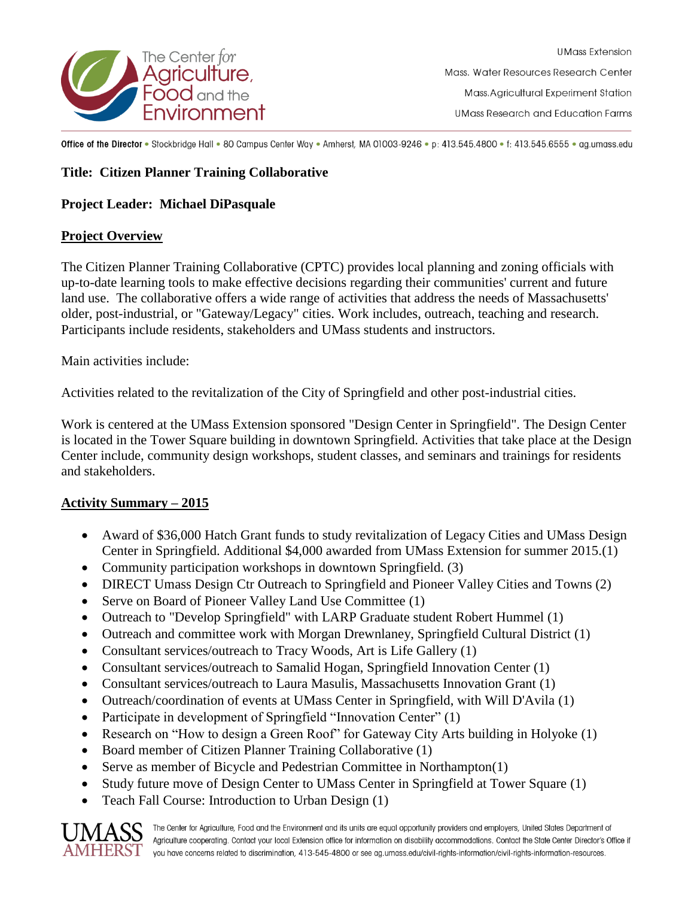

**UMass Extension** Mass, Water Resources Research Center Mass. Agricultural Experiment Station **UMass Research and Education Farms** 

Office of the Director . Stockbridge Hall . 80 Campus Center Way . Amherst, MA 01003-9246 . p: 413.545.4800 . f: 413.545.6555 . ag.umass.edu

## **Title: Citizen Planner Training Collaborative**

#### **Project Leader: Michael DiPasquale**

#### **Project Overview**

The Citizen Planner Training Collaborative (CPTC) provides local planning and zoning officials with up-to-date learning tools to make effective decisions regarding their communities' current and future land use. The collaborative offers a wide range of activities that address the needs of Massachusetts' older, post-industrial, or "Gateway/Legacy" cities. Work includes, outreach, teaching and research. Participants include residents, stakeholders and UMass students and instructors.

Main activities include:

Activities related to the revitalization of the City of Springfield and other post-industrial cities.

Work is centered at the UMass Extension sponsored "Design Center in Springfield". The Design Center is located in the Tower Square building in downtown Springfield. Activities that take place at the Design Center include, community design workshops, student classes, and seminars and trainings for residents and stakeholders.

### **Activity Summary – 2015**

- Award of \$36,000 Hatch Grant funds to study revitalization of Legacy Cities and UMass Design Center in Springfield. Additional \$4,000 awarded from UMass Extension for summer 2015.(1)
- Community participation workshops in downtown Springfield. (3)
- DIRECT Umass Design Ctr Outreach to Springfield and Pioneer Valley Cities and Towns (2)
- Serve on Board of Pioneer Valley Land Use Committee (1)
- Outreach to "Develop Springfield" with LARP Graduate student Robert Hummel (1)
- Outreach and committee work with Morgan Drewnlaney, Springfield Cultural District (1)
- Consultant services/outreach to Tracy Woods, Art is Life Gallery (1)
- Consultant services/outreach to Samalid Hogan, Springfield Innovation Center (1)
- Consultant services/outreach to Laura Masulis, Massachusetts Innovation Grant (1)
- Outreach/coordination of events at UMass Center in Springfield, with Will D'Avila (1)
- Participate in development of Springfield "Innovation Center" (1)
- Research on "How to design a Green Roof" for Gateway City Arts building in Holyoke (1)
- Board member of Citizen Planner Training Collaborative (1)
- Serve as member of Bicycle and Pedestrian Committee in Northampton(1)
- Study future move of Design Center to UMass Center in Springfield at Tower Square (1)
- Teach Fall Course: Introduction to Urban Design (1)



The Center for Agriculture, Food and the Environment and its units are equal opportunity providers and employers, United States Department of Agriculture cooperating. Contact your local Extension office for information on disability accommodations. Contact the State Center Director's Office if  $\mathrm{AMHERST}$  you have concerns related to discrimination, 413-545-4800 or see ag.umass.edu/civil-rights-information/civil-rights-information-resources.